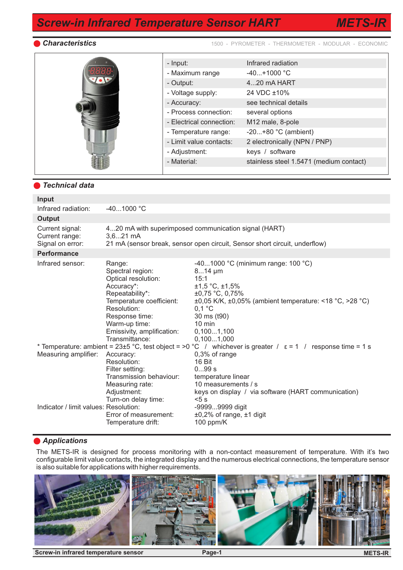*METS-IR*

*Characteristics* 1500 - PYROMETER - THERMOMETER - MODULAR - ECONOMIC

|  | - Input:                 | Infrared radiation                      |
|--|--------------------------|-----------------------------------------|
|  | - Maximum range          | $-40+1000$ °C                           |
|  | - Output:                | 420 mA HART                             |
|  | - Voltage supply:        | 24 VDC ±10%                             |
|  | - Accuracy:              | see technical details                   |
|  | - Process connection:    | several options                         |
|  | - Electrical connection: | M12 male, 8-pole                        |
|  | - Temperature range:     | $-20+80$ °C (ambient)                   |
|  | - Limit value contacts:  | 2 electronically (NPN / PNP)            |
|  | - Adjustment:            | keys / software                         |
|  | - Material:              | stainless steel 1.5471 (medium contact) |
|  |                          |                                         |

#### *Technical data*

| Input                                                         |                                                                                                                                                                                                                  |                                                                                                                                                                                                                                                                                                                                   |  |  |  |  |  |
|---------------------------------------------------------------|------------------------------------------------------------------------------------------------------------------------------------------------------------------------------------------------------------------|-----------------------------------------------------------------------------------------------------------------------------------------------------------------------------------------------------------------------------------------------------------------------------------------------------------------------------------|--|--|--|--|--|
| Infrared radiation:                                           | $-401000 °C$                                                                                                                                                                                                     |                                                                                                                                                                                                                                                                                                                                   |  |  |  |  |  |
| <b>Output</b>                                                 |                                                                                                                                                                                                                  |                                                                                                                                                                                                                                                                                                                                   |  |  |  |  |  |
| Current signal:<br>Current range:<br>Signal on error:         | 420 mA with superimposed communication signal (HART)<br>$3,621 \text{ mA}$<br>21 mA (sensor break, sensor open circuit, Sensor short circuit, underflow)                                                         |                                                                                                                                                                                                                                                                                                                                   |  |  |  |  |  |
| <b>Performance</b>                                            |                                                                                                                                                                                                                  |                                                                                                                                                                                                                                                                                                                                   |  |  |  |  |  |
| Infrared sensor:                                              | Range:<br>Spectral region:<br>Optical resolution:<br>Accuracy*:<br>Repeatability*:<br>Temperature coefficient:<br>Resolution:<br>Response time:<br>Warm-up time:<br>Emissivity, amplification:<br>Transmittance: | -401000 °C (minimum range: 100 °C)<br>$814 \mu m$<br>15:1<br>$±1,5$ °C, $±1,5%$<br>$±0,75$ °C, 0,75%<br>$\pm 0.05$ K/K, $\pm 0.05$ % (ambient temperature: <18 °C, >28 °C)<br>$0,1$ °C<br>30 ms (t90)<br>$10 \text{ min}$<br>0,1001,100<br>0,1001,000                                                                             |  |  |  |  |  |
| Measuring amplifier:<br>Indicator / limit values: Resolution: | Accuracy:<br>Resolution:<br>Filter setting:<br>Transmission behaviour:<br>Measuring rate:<br>Adjustment:<br>Turn-on delay time:<br>Error of measurement:<br>Temperature drift:                                   | * Temperature: ambient = 23±5 °C, test object = >0 °C / whichever is greater / $\epsilon$ = 1 / response time = 1 s<br>0,3% of range<br>16 Bit<br>099 s<br>temperature linear<br>10 measurements / s<br>keys on display / via software (HART communication)<br>5s<br>-99999999 digit<br>$±0,2%$ of range, $±1$ digit<br>100 ppm/K |  |  |  |  |  |

### *Applications*

The METS-IR is designed for process monitoring with a non-contact measurement of temperature. With it's two configurable limit value contacts, the integrated display and the numerous electrical connections, the temperature sensor is also suitable for applications with higher requirements.



**Screw-in infrared temperature sensor <b>Page-1**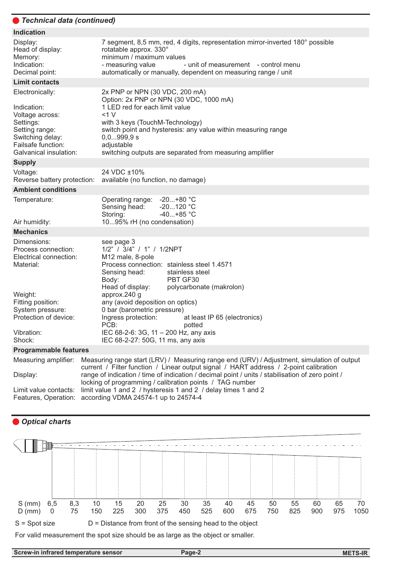# *Technical data (continued)*

| <b>Indication</b>                                                                                                                                                              |                                                                                                                                                                                                                                                                                                                                                                                                                                                               |
|--------------------------------------------------------------------------------------------------------------------------------------------------------------------------------|---------------------------------------------------------------------------------------------------------------------------------------------------------------------------------------------------------------------------------------------------------------------------------------------------------------------------------------------------------------------------------------------------------------------------------------------------------------|
| Display:<br>Head of display:<br>Memory:<br>Indication:<br>Decimal point:                                                                                                       | 7 segment, 8,5 mm, red, 4 digits, representation mirror-inverted 180° possible<br>rotatable approx. 330°<br>minimum / maximum values<br>- measuring value<br>- unit of measurement - control menu<br>automatically or manually, dependent on measuring range / unit                                                                                                                                                                                           |
| <b>Limit contacts</b>                                                                                                                                                          |                                                                                                                                                                                                                                                                                                                                                                                                                                                               |
| Electronically:<br>Indication:<br>Voltage across:<br>Settings:<br>Setting range:<br>Switching delay:<br>Failsafe function:<br>Galvanical insulation:                           | 2x PNP or NPN (30 VDC, 200 mA)<br>Option: 2x PNP or NPN (30 VDC, 1000 mA)<br>1 LED red for each limit value<br><1 V<br>with 3 keys (TouchM-Technology)<br>switch point and hysteresis: any value within measuring range<br>0,0999,9 s<br>adjustable<br>switching outputs are separated from measuring amplifier                                                                                                                                               |
| <b>Supply</b>                                                                                                                                                                  |                                                                                                                                                                                                                                                                                                                                                                                                                                                               |
| Voltage:<br>Reverse battery protection:                                                                                                                                        | 24 VDC ±10%<br>available (no function, no damage)                                                                                                                                                                                                                                                                                                                                                                                                             |
| <b>Ambient conditions</b>                                                                                                                                                      |                                                                                                                                                                                                                                                                                                                                                                                                                                                               |
| Temperature:                                                                                                                                                                   | $-20+80 °C$<br>Operating range:<br>$-20120 °C$<br>Sensing head:<br>$-40+85$ °C<br>Storing:<br>1095% rH (no condensation)                                                                                                                                                                                                                                                                                                                                      |
| Air humidity:<br><b>Mechanics</b>                                                                                                                                              |                                                                                                                                                                                                                                                                                                                                                                                                                                                               |
| Dimensions:<br>Process connection:<br>Electrical connection:<br>Material:<br>Weight:<br>Fitting position:<br>System pressure:<br>Protection of device:<br>Vibration:<br>Shock: | see page 3<br>1/2" / 3/4" / 1" / 1/2NPT<br>M12 male, 8-pole<br>Process connection: stainless steel 1.4571<br>stainless steel<br>Sensing head:<br>PBT GF30<br>Body:<br>Head of display:<br>polycarbonate (makrolon)<br>approx.240 g<br>any (avoid deposition on optics)<br>0 bar (barometric pressure)<br>Ingress protection:<br>at least IP 65 (electronics)<br>PCB:<br>potted<br>IEC 68-2-6: 3G, 11 - 200 Hz, any axis<br>IEC 68-2-27: 50G, 11 ms, any axis  |
| <b>Programmable features</b>                                                                                                                                                   |                                                                                                                                                                                                                                                                                                                                                                                                                                                               |
| Measuring amplifier:<br>Display:<br>Limit value contacts:<br>Features, Operation:                                                                                              | Measuring range start (LRV) / Measuring range end (URV) / Adjustment, simulation of output<br>current / Filter function / Linear output signal / HART address / 2-point calibration<br>range of indication / time of indication / decimal point / units / stabilisation of zero point /<br>locking of programming / calibration points / TAG number<br>limit value 1 and 2 / hysteresis 1 and 2 / delay times 1 and 2<br>according VDMA 24574-1 up to 24574-4 |





For valid measurement the spot size should be as large as the object or smaller.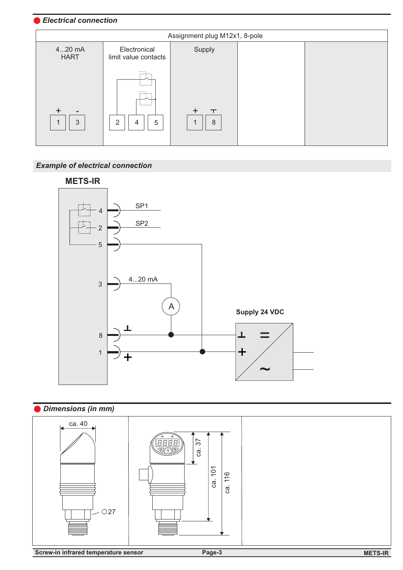## *Electrical connection*

| Assignment plug M12x1, 8-pole |                                                             |             |  |  |  |  |  |
|-------------------------------|-------------------------------------------------------------|-------------|--|--|--|--|--|
| $420$ mA<br><b>HART</b>       | Electronical<br>limit value contacts                        | Supply      |  |  |  |  |  |
| -<br>3<br>$\overline{A}$      | -------<br>--------<br>$\mathcal{P}$<br>5<br>$\overline{4}$ | $\top$<br>8 |  |  |  |  |  |

# *Example of electrical connection*